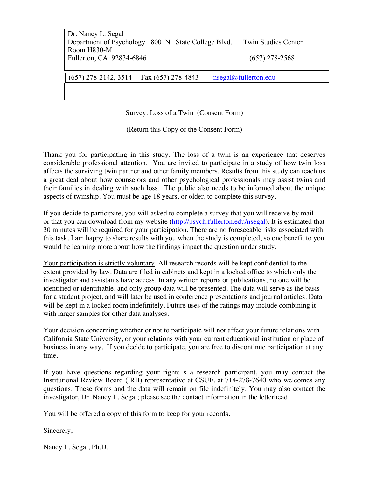| Dr. Nancy L. Segal                                  |                            |  |
|-----------------------------------------------------|----------------------------|--|
| Department of Psychology 800 N. State College Blvd. | <b>Twin Studies Center</b> |  |
| Room H830-M                                         |                            |  |
| Fullerton, CA 92834-6846                            | $(657)$ 278-2568           |  |

### (657) 278-2142, 3514 Fax (657) 278-4843 nsegal@fullerton.edu

Survey: Loss of a Twin (Consent Form)

(Return this Copy of the Consent Form)

Thank you for participating in this study. The loss of a twin is an experience that deserves considerable professional attention. You are invited to participate in a study of how twin loss affects the surviving twin partner and other family members. Results from this study can teach us a great deal about how counselors and other psychological professionals may assist twins and their families in dealing with such loss. The public also needs to be informed about the unique aspects of twinship. You must be age 18 years, or older, to complete this survey.

If you decide to participate, you will asked to complete a survey that you will receive by mail or that you can download from my website (http://psych.fullerton.edu/nsegal). It is estimated that 30 minutes will be required for your participation. There are no foreseeable risks associated with this task. I am happy to share results with you when the study is completed, so one benefit to you would be learning more about how the findings impact the question under study.

Your participation is strictly voluntary. All research records will be kept confidential to the extent provided by law. Data are filed in cabinets and kept in a locked office to which only the investigator and assistants have access. In any written reports or publications, no one will be identified or identifiable, and only group data will be presented. The data will serve as the basis for a student project, and will later be used in conference presentations and journal articles. Data will be kept in a locked room indefinitely. Future uses of the ratings may include combining it with larger samples for other data analyses.

Your decision concerning whether or not to participate will not affect your future relations with California State University, or your relations with your current educational institution or place of business in any way. If you decide to participate, you are free to discontinue participation at any time.

If you have questions regarding your rights s a research participant, you may contact the Institutional Review Board (IRB) representative at CSUF, at 714-278-7640 who welcomes any questions. These forms and the data will remain on file indefinitely. You may also contact the investigator, Dr. Nancy L. Segal; please see the contact information in the letterhead.

You will be offered a copy of this form to keep for your records.

Sincerely,

Nancy L. Segal, Ph.D.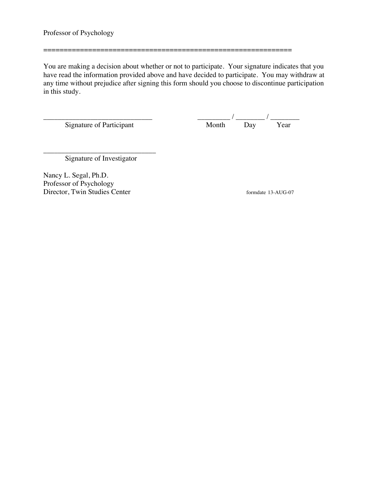You are making a decision about whether or not to participate. Your signature indicates that you have read the information provided above and have decided to participate. You may withdraw at any time without prejudice after signing this form should you choose to discontinue participation in this study.

=============================================================

\_\_\_\_\_\_\_\_\_\_\_\_\_\_\_\_\_\_\_\_\_\_\_\_\_\_\_\_\_\_ \_\_\_\_\_\_\_\_\_ / \_\_\_\_\_\_\_\_ / \_\_\_\_\_\_\_\_ Signature of Participant The Month Day Year

\_\_\_\_\_\_\_\_\_\_\_\_\_\_\_\_\_\_\_\_\_\_\_\_\_\_\_\_\_\_\_ Signature of Investigator

Nancy L. Segal, Ph.D. Professor of Psychology Director, Twin Studies Center formdate 13-AUG-07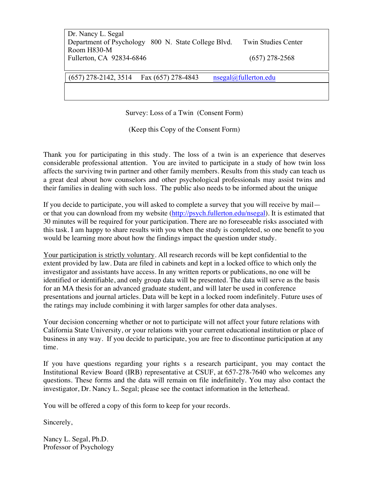| Dr. Nancy L. Segal                                  |  |                            |
|-----------------------------------------------------|--|----------------------------|
| Department of Psychology 800 N. State College Blvd. |  | <b>Twin Studies Center</b> |
| Room H830-M                                         |  |                            |
| Fullerton, CA 92834-6846                            |  | $(657)$ 278-2568           |

### (657) 278-2142, 3514 Fax (657) 278-4843 nsegal@fullerton.edu

Survey: Loss of a Twin (Consent Form)

(Keep this Copy of the Consent Form)

Thank you for participating in this study. The loss of a twin is an experience that deserves considerable professional attention. You are invited to participate in a study of how twin loss affects the surviving twin partner and other family members. Results from this study can teach us a great deal about how counselors and other psychological professionals may assist twins and their families in dealing with such loss. The public also needs to be informed about the unique

If you decide to participate, you will asked to complete a survey that you will receive by mail or that you can download from my website (http://psych.fullerton.edu/nsegal). It is estimated that 30 minutes will be required for your participation. There are no foreseeable risks associated with this task. I am happy to share results with you when the study is completed, so one benefit to you would be learning more about how the findings impact the question under study.

Your participation is strictly voluntary. All research records will be kept confidential to the extent provided by law. Data are filed in cabinets and kept in a locked office to which only the investigator and assistants have access. In any written reports or publications, no one will be identified or identifiable, and only group data will be presented. The data will serve as the basis for an MA thesis for an advanced graduate student, and will later be used in conference presentations and journal articles. Data will be kept in a locked room indefinitely. Future uses of the ratings may include combining it with larger samples for other data analyses.

Your decision concerning whether or not to participate will not affect your future relations with California State University, or your relations with your current educational institution or place of business in any way. If you decide to participate, you are free to discontinue participation at any time.

If you have questions regarding your rights s a research participant, you may contact the Institutional Review Board (IRB) representative at CSUF, at 657-278-7640 who welcomes any questions. These forms and the data will remain on file indefinitely. You may also contact the investigator, Dr. Nancy L. Segal; please see the contact information in the letterhead.

You will be offered a copy of this form to keep for your records.

Sincerely,

Nancy L. Segal, Ph.D. Professor of Psychology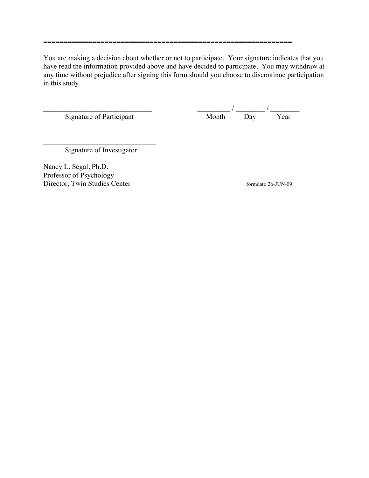You are making a decision about whether or not to participate. Your signature indicates that you have read the information provided above and have decided to participate. You may withdraw at any time without prejudice after signing this form should you choose to discontinue participation in this study.

=============================================================

Signature of Participant

 $\frac{1}{\text{Month}}$  /  $\frac{1}{\text{Day}}$  /  $\frac{1}{\text{Year}}$ 

\_\_\_\_\_\_\_\_\_\_\_\_\_\_\_\_\_\_\_\_\_\_\_\_\_\_\_\_\_\_\_ Signature of Investigator

Nancy L. Segal, Ph.D. Professor of Psychology Director, Twin Studies Center formdate 26-JUN-09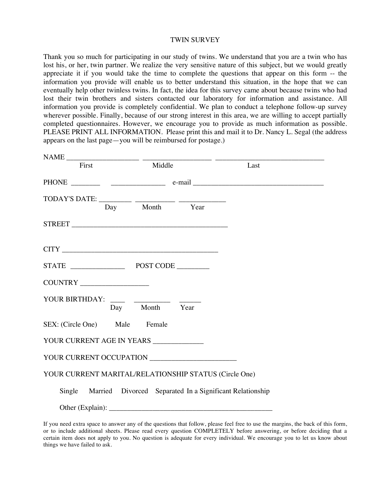#### TWIN SURVEY

Thank you so much for participating in our study of twins. We understand that you are a twin who has lost his, or her, twin partner. We realize the very sensitive nature of this subject, but we would greatly appreciate it if you would take the time to complete the questions that appear on this form -- the information you provide will enable us to better understand this situation, in the hope that we can eventually help other twinless twins. In fact, the idea for this survey came about because twins who had lost their twin brothers and sisters contacted our laboratory for information and assistance. All information you provide is completely confidential. We plan to conduct a telephone follow-up survey wherever possible. Finally, because of our strong interest in this area, we are willing to accept partially completed questionnaires. However, we encourage you to provide as much information as possible. PLEASE PRINT ALL INFORMATION. Please print this and mail it to Dr. Nancy L. Segal (the address appears on the last page—you will be reimbursed for postage.)

| NAME First Middle                                     |                | Last                                                            |  |
|-------------------------------------------------------|----------------|-----------------------------------------------------------------|--|
|                                                       |                |                                                                 |  |
|                                                       |                |                                                                 |  |
|                                                       | Day Month Year |                                                                 |  |
|                                                       |                |                                                                 |  |
|                                                       |                |                                                                 |  |
|                                                       |                |                                                                 |  |
|                                                       |                |                                                                 |  |
| YOUR BIRTHDAY: ____ __________ _____                  |                |                                                                 |  |
|                                                       | Day Month Year |                                                                 |  |
| SEX: (Circle One) Male Female                         |                |                                                                 |  |
| YOUR CURRENT AGE IN YEARS                             |                |                                                                 |  |
|                                                       |                |                                                                 |  |
| YOUR CURRENT MARITAL/RELATIONSHIP STATUS (Circle One) |                |                                                                 |  |
|                                                       |                | Single Married Divorced Separated In a Significant Relationship |  |
|                                                       |                |                                                                 |  |

If you need extra space to answer any of the questions that follow, please feel free to use the margins, the back of this form, or to include additional sheets. Please read every question COMPLETELY before answering, or before deciding that a certain item does not apply to you. No question is adequate for every individual. We encourage you to let us know about things we have failed to ask.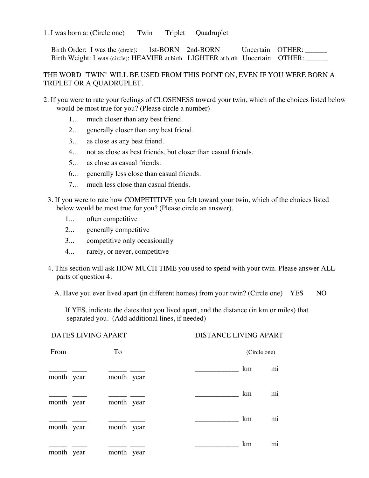### 1. I was born a: (Circle one) Twin Triplet Quadruplet

Birth Order: I was the (circle): 1st-BORN 2nd-BORN Uncertain OTHER: \_\_\_\_\_\_ Birth Weight: I was (circle): HEAVIER at birth LIGHTER at birth Uncertain OTHER:

### THE WORD "TWIN" WILL BE USED FROM THIS POINT ON, EVEN IF YOU WERE BORN A TRIPLET OR A QUADRUPLET.

- 2. If you were to rate your feelings of CLOSENESS toward your twin, which of the choices listed below would be most true for you? (Please circle a number)
	- 1... much closer than any best friend.
	- 2... generally closer than any best friend.
	- 3... as close as any best friend.
	- 4... not as close as best friends, but closer than casual friends.
	- 5... as close as casual friends.
	- 6... generally less close than casual friends.
	- 7... much less close than casual friends.
	- 3. If you were to rate how COMPETITIVE you felt toward your twin, which of the choices listed below would be most true for you? (Please circle an answer).
		- 1... often competitive
		- 2... generally competitive
		- 3... competitive only occasionally
		- 4... rarely, or never, competitive
	- 4. This section will ask HOW MUCH TIME you used to spend with your twin. Please answer ALL parts of question 4.
		- A. Have you ever lived apart (in different homes) from your twin? (Circle one) YES NO

If YES, indicate the dates that you lived apart, and the distance (in km or miles) that separated you. (Add additional lines, if needed)

| <b>DATES LIVING APART</b> |  |            | <b>DISTANCE LIVING APART</b> |              |                |
|---------------------------|--|------------|------------------------------|--------------|----------------|
| From                      |  | To         |                              | (Circle one) |                |
| month year                |  | month year |                              | km           | m <sub>1</sub> |
| month year                |  | month year |                              | km           | m <sub>1</sub> |
| month year                |  | month year |                              | km           | m <sub>1</sub> |
| month year                |  | month year |                              | km           | m <sub>1</sub> |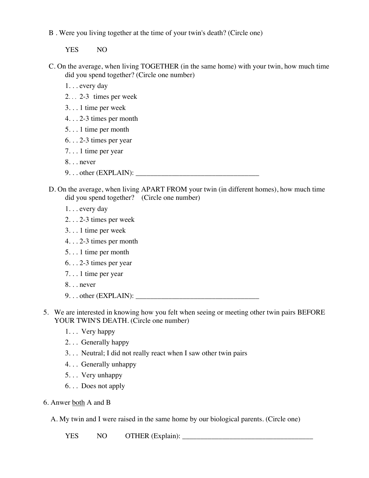B . Were you living together at the time of your twin's death? (Circle one)

YES NO

C. On the average, when living TOGETHER (in the same home) with your twin, how much time did you spend together? (Circle one number)

1. . . every day

- 2. . . 2-3 times per week
- 3. . . 1 time per week
- 4. . . 2-3 times per month
- 5. . . 1 time per month
- 6. . . 2-3 times per year
- 7. . . 1 time per year
- 8. . . never
- $9. \ldots$  other (EXPLAIN):  $\Box$
- D. On the average, when living APART FROM your twin (in different homes), how much time did you spend together? (Circle one number)
	- 1. . . every day
	- 2. . . 2-3 times per week
	- 3. . . 1 time per week
	- 4. . . 2-3 times per month
	- 5. . . 1 time per month
	- 6. . . 2-3 times per year
	- 7. . . 1 time per year
	- 8. . . never
	- 9. . . other (EXPLAIN): \_\_\_\_\_\_\_\_\_\_\_\_\_\_\_\_\_\_\_\_\_\_\_\_\_\_\_\_\_\_\_\_\_\_
- 5. We are interested in knowing how you felt when seeing or meeting other twin pairs BEFORE YOUR TWIN'S DEATH. (Circle one number)
	- 1. . . Very happy
	- 2. . . Generally happy
	- 3. . . Neutral; I did not really react when I saw other twin pairs
	- 4. . . Generally unhappy
	- 5. . . Very unhappy
	- 6. . . Does not apply
- 6. Anwer both A and B
	- A. My twin and I were raised in the same home by our biological parents. (Circle one)

YES NO OTHER (Explain): \_\_\_\_\_\_\_\_\_\_\_\_\_\_\_\_\_\_\_\_\_\_\_\_\_\_\_\_\_\_\_\_\_\_\_\_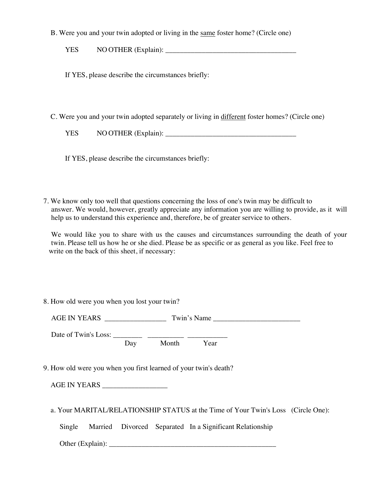B. Were you and your twin adopted or living in the same foster home? (Circle one)

YES NO OTHER (Explain): \_\_\_\_\_\_\_\_\_\_\_\_\_\_\_\_\_\_\_\_\_\_\_\_\_\_\_\_\_\_\_\_\_\_\_\_

If YES, please describe the circumstances briefly:

C. Were you and your twin adopted separately or living in different foster homes? (Circle one)

| YES | NO OTHER (Explain): |
|-----|---------------------|
|-----|---------------------|

If YES, please describe the circumstances briefly:

7. We know only too well that questions concerning the loss of one's twin may be difficult to answer. We would, however, greatly appreciate any information you are willing to provide, as it will help us to understand this experience and, therefore, be of greater service to others.

We would like you to share with us the causes and circumstances surrounding the death of your twin. Please tell us how he or she died. Please be as specific or as general as you like. Feel free to write on the back of this sheet, if necessary:

8. How old were you when you lost your twin?

| <b>AGE IN YEARS</b> | <b>TT</b><br>win's<br>Name |
|---------------------|----------------------------|
|                     |                            |

Date of Twin's Loss:  $\frac{2}{\text{Day}}$ Month Year

9. How old were you when you first learned of your twin's death?

AGE IN YEARS \_\_\_\_\_\_\_\_\_\_\_\_\_\_\_\_\_\_

a. Your MARITAL/RELATIONSHIP STATUS at the Time of Your Twin's Loss (Circle One):

Single Married Divorced Separated In a Significant Relationship

Other (Explain): \_\_\_\_\_\_\_\_\_\_\_\_\_\_\_\_\_\_\_\_\_\_\_\_\_\_\_\_\_\_\_\_\_\_\_\_\_\_\_\_\_\_\_\_\_\_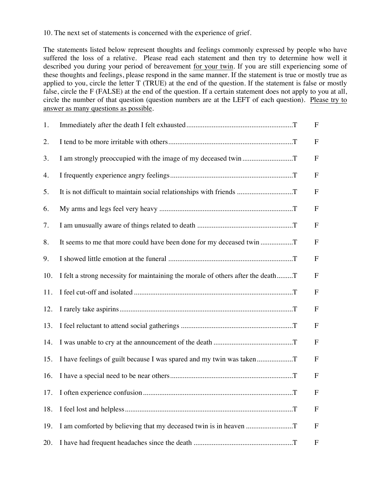10. The next set of statements is concerned with the experience of grief.

The statements listed below represent thoughts and feelings commonly expressed by people who have suffered the loss of a relative. Please read each statement and then try to determine how well it described you during your period of bereavement for your twin. If you are still experiencing some of these thoughts and feelings, please respond in the same manner. If the statement is true or mostly true as applied to you, circle the letter T (TRUE) at the end of the question. If the statement is false or mostly false, circle the F (FALSE) at the end of the question. If a certain statement does not apply to you at all, circle the number of that question (question numbers are at the LEFT of each question). Please try to answer as many questions as possible.

| 1.  |                                                                                 | ${\bf F}$    |  |
|-----|---------------------------------------------------------------------------------|--------------|--|
| 2.  |                                                                                 | F            |  |
| 3.  |                                                                                 | ${\bf F}$    |  |
| 4.  |                                                                                 | $\mathbf F$  |  |
| 5.  |                                                                                 | $\mathbf F$  |  |
| 6.  |                                                                                 | $\mathbf F$  |  |
| 7.  |                                                                                 | $\mathbf F$  |  |
| 8.  | It seems to me that more could have been done for my deceased twin              | $\mathbf F$  |  |
| 9.  |                                                                                 | F            |  |
| 10. | I felt a strong necessity for maintaining the morale of others after the deathT | $\mathbf{F}$ |  |
| 11. |                                                                                 | $\mathbf F$  |  |
| 12. |                                                                                 | $\mathbf F$  |  |
| 13. |                                                                                 | $\mathbf F$  |  |
| 14. |                                                                                 | $\mathbf F$  |  |
| 15. | I have feelings of guilt because I was spared and my twin was taken             | $\mathbf F$  |  |
| 16. |                                                                                 | ${\bf F}$    |  |
|     |                                                                                 | $\mathbf{F}$ |  |
| 18. |                                                                                 | F            |  |
| 19. |                                                                                 | $\mathbf F$  |  |
| 20. |                                                                                 | F            |  |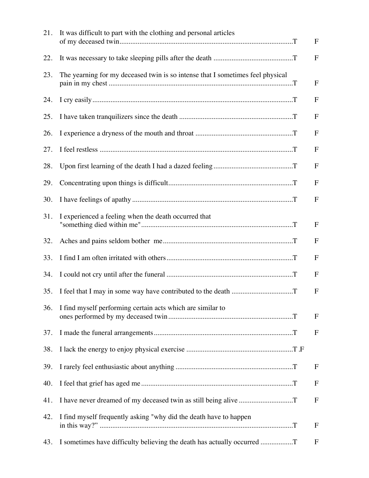| 21. | It was difficult to part with the clothing and personal articles               | $\mathbf{F}$              |
|-----|--------------------------------------------------------------------------------|---------------------------|
| 22. |                                                                                | $\mathbf F$               |
| 23. | The yearning for my deceased twin is so intense that I sometimes feel physical | $\mathbf F$               |
| 24. |                                                                                | $\mathbf{F}$              |
| 25. |                                                                                | $\mathbf{F}$              |
| 26. |                                                                                | $\mathbf{F}$              |
| 27. |                                                                                | $\mathbf{F}$              |
| 28. |                                                                                | $\mathbf F$               |
| 29. |                                                                                | $\mathbf{F}$              |
| 30. |                                                                                | $\mathbf{F}$              |
| 31. | I experienced a feeling when the death occurred that                           | $\mathbf{F}$              |
| 32. |                                                                                | $\mathbf{F}$              |
| 33. |                                                                                | $\mathbf{F}$              |
| 34. |                                                                                | $\mathbf{F}$              |
| 35. |                                                                                | $\mathbf F$               |
| 36. | I find myself performing certain acts which are similar to                     | $\mathbf F$               |
| 37. |                                                                                | $\mathbf F$               |
| 38. |                                                                                |                           |
| 39. |                                                                                | $\boldsymbol{\mathrm{F}}$ |
| 40. |                                                                                | F                         |
| 41. |                                                                                | $\mathbf{F}$              |
| 42. | I find myself frequently asking "why did the death have to happen              | $\mathbf F$               |
| 43. | I sometimes have difficulty believing the death has actually occurred T        | $\mathbf F$               |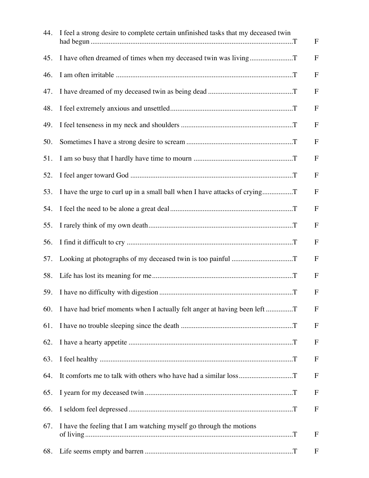| 44. | I feel a strong desire to complete certain unfinished tasks that my deceased twin | ${\bf F}$    |
|-----|-----------------------------------------------------------------------------------|--------------|
| 45. |                                                                                   | $\mathbf{F}$ |
| 46. |                                                                                   | ${\bf F}$    |
| 47. |                                                                                   | ${\bf F}$    |
| 48. |                                                                                   | ${\bf F}$    |
| 49. |                                                                                   | $\mathbf{F}$ |
| 50. |                                                                                   | $\mathbf F$  |
| 51. |                                                                                   | ${\bf F}$    |
| 52. |                                                                                   | $\mathbf F$  |
| 53. | I have the urge to curl up in a small ball when I have attacks of crying          | $\mathbf F$  |
| 54. |                                                                                   | ${\bf F}$    |
| 55. |                                                                                   | $\mathbf F$  |
| 56. |                                                                                   | $\mathbf{F}$ |
| 57. |                                                                                   | $\mathbf F$  |
| 58. |                                                                                   | $\mathbf{F}$ |
| 59. |                                                                                   | ${\bf F}$    |
| 60. | I have had brief moments when I actually felt anger at having been left           | $\mathbf F$  |
| 61. |                                                                                   | $\mathbf F$  |
| 62. |                                                                                   | F            |
| 63. |                                                                                   | $\mathbf F$  |
| 64. |                                                                                   | $\mathbf{F}$ |
| 65. |                                                                                   | ${\bf F}$    |
| 66. |                                                                                   | F            |
| 67. | I have the feeling that I am watching myself go through the motions               | $\mathbf F$  |
| 68. |                                                                                   | $\mathbf F$  |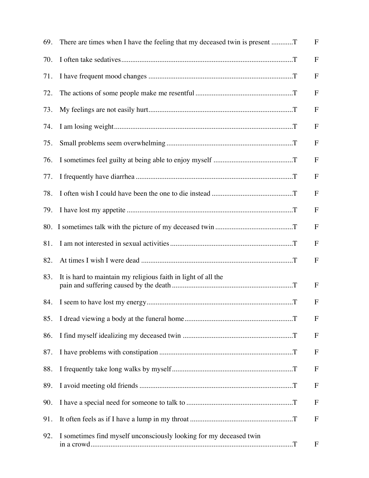| 69. | There are times when I have the feeling that my deceased twin is present | $\mathbf F$  |
|-----|--------------------------------------------------------------------------|--------------|
| 70. |                                                                          | $\mathbf{F}$ |
| 71. |                                                                          | $\mathbf F$  |
| 72. |                                                                          | $\mathbf F$  |
| 73. |                                                                          | $\mathbf{F}$ |
| 74. |                                                                          | $\mathbf F$  |
| 75. |                                                                          | $\mathbf{F}$ |
| 76. |                                                                          | $\mathbf F$  |
| 77. |                                                                          | $\mathbf{F}$ |
| 78. |                                                                          | $\mathbf F$  |
| 79. |                                                                          | $\mathbf F$  |
|     |                                                                          | $\mathbf{F}$ |
| 81. |                                                                          | $\mathbf F$  |
| 82. |                                                                          | $\mathbf{F}$ |
| 83. | It is hard to maintain my religious faith in light of all the            | $\mathbf{F}$ |
| 84. |                                                                          | $\mathbf{F}$ |
| 85. |                                                                          | $\mathbf F$  |
| 86. |                                                                          | $\mathbf F$  |
| 87. |                                                                          | $\mathbf{F}$ |
| 88. |                                                                          | $\mathbf F$  |
| 89. |                                                                          | $\mathbf{F}$ |
| 90. |                                                                          | $\mathbf{F}$ |
| 91. |                                                                          | $\mathbf F$  |
| 92. | I sometimes find myself unconsciously looking for my deceased twin       | $\mathbf F$  |
|     |                                                                          |              |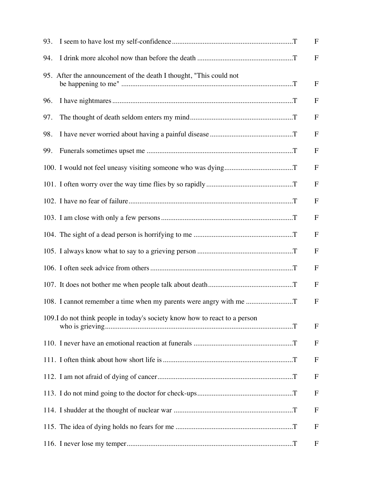| 93. |                                                                            | $\mathbf{F}$ |
|-----|----------------------------------------------------------------------------|--------------|
| 94. |                                                                            | $\mathbf F$  |
|     | 95. After the announcement of the death I thought, "This could not         | $\mathbf{F}$ |
| 96. |                                                                            | $\mathbf{F}$ |
| 97. |                                                                            | F            |
| 98. |                                                                            | $\mathbf{F}$ |
| 99. |                                                                            | $\mathbf{F}$ |
|     |                                                                            | F            |
|     |                                                                            | $\mathbf F$  |
|     |                                                                            | $\mathbf{F}$ |
|     |                                                                            | $\mathbf F$  |
|     |                                                                            | F            |
|     |                                                                            | $\mathbf F$  |
|     |                                                                            | $\mathbf F$  |
|     |                                                                            | $\mathbf{F}$ |
|     |                                                                            | F            |
|     | 109.I do not think people in today's society know how to react to a person | F            |
|     |                                                                            | $\mathbf{F}$ |
|     |                                                                            | $\mathbf F$  |
|     |                                                                            | $\mathbf F$  |
|     |                                                                            | $\mathbf{F}$ |
|     |                                                                            | $\mathbf F$  |
|     |                                                                            | $\mathbf{F}$ |
|     |                                                                            | F            |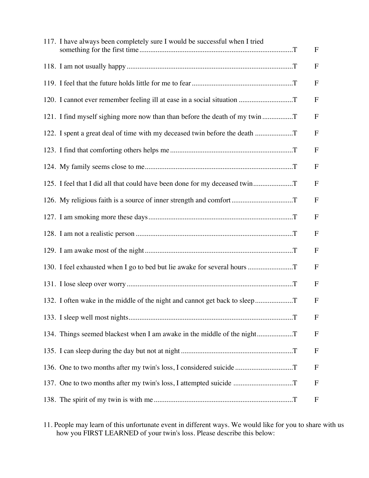| 117. I have always been completely sure I would be successful when I tried | $\mathbf{F}$ |
|----------------------------------------------------------------------------|--------------|
|                                                                            | $\mathbf F$  |
|                                                                            | $\mathbf{F}$ |
|                                                                            | $\mathbf F$  |
| 121. I find myself sighing more now than than before the death of my twin  | $\mathbf F$  |
| 122. I spent a great deal of time with my deceased twin before the death   | $\mathbf F$  |
|                                                                            | $\mathbf F$  |
|                                                                            | $\mathbf F$  |
| 125. I feel that I did all that could have been done for my deceased twin  | $\mathbf{F}$ |
|                                                                            | $\mathbf F$  |
|                                                                            | $\mathbf{F}$ |
|                                                                            | $\mathbf F$  |
|                                                                            | F            |
| 130. I feel exhausted when I go to bed but lie awake for several hours     | $\mathbf F$  |
|                                                                            | F            |
| 132. I often wake in the middle of the night and cannot get back to sleep  | F            |
|                                                                            | F            |
| 134. Things seemed blackest when I am awake in the middle of the night     | $\mathbf{F}$ |
|                                                                            | $\mathbf{F}$ |
| 136. One to two months after my twin's loss, I considered suicide          | F            |
| 137. One to two months after my twin's loss, I attempted suicide           | F            |
|                                                                            | $\mathbf F$  |

11. People may learn of this unfortunate event in different ways. We would like for you to share with us how you FIRST LEARNED of your twin's loss. Please describe this below: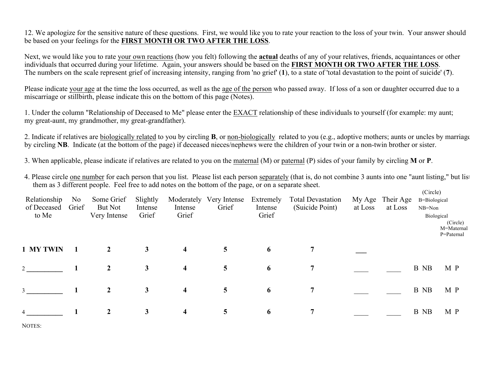12. We apologize for the sensitive nature of these questions. First, we would like you to rate your reaction to the loss of your twin. Your answer should be based on your feelings for the **FIRST MONTH OR TWO AFTER THE LOSS**.

Next, we would like you to rate your own reactions (how you felt) following the **actual** deaths of any of your relatives, friends, acquaintances or other individuals that occurred during your lifetime. Again, your answers should be based on the **FIRST MONTH OR TWO AFTER THE LOSS**. The numbers on the scale represent grief of increasing intensity, ranging from 'no grief' (**1**), to a state of 'total devastation to the point of suicide' (**7**).

Please indicate your age at the time the loss occurred, as well as the age of the person who passed away. If loss of a son or daughter occurred due to a miscarriage or stillbirth, please indicate this on the bottom of this page (Notes).

1. Under the column "Relationship of Deceased to Me" please enter the EXACT relationship of these individuals to yourself (for example: my aunt; my great-aunt, my grandmother, my great-grandfather).

2. Indicate if relatives are biologically related to you by circling **B**, or non-biologically related to you (e.g., adoptive mothers; aunts or uncles by marriage), by circling **NB**. Indicate (at the bottom of the page) if deceased nieces/nephews were the children of your twin or a non-twin brother or sister.

3. When applicable, please indicate if relatives are related to you on the maternal (M) or paternal (P) sides of your family by circling **M** or **P**.

4. Please circle one number for each person that you list. Please list each person separately (that is, do not combine 3 aunts into one "aunt listing," but list them as 3 different people. Feel free to add notes on the bottom of the page, or on a separate sheet.

| Relationship<br>of Deceased<br>to Me | No.<br>Grief | Some Grief<br>But Not<br>Very Intense | Slightly<br>Intense<br>Grief | Moderately<br>Intense<br>Grief | Very Intense<br>Grief | Extremely<br>Intense<br>Grief | <b>Total Devastation</b><br>(Suicide Point) | My Age<br>at Loss | Their Age<br>at Loss | (Circle)<br>B=Biological<br>$NB = Non$<br>Biological | (Circle)<br>M=Maternal<br>P=Paternal |
|--------------------------------------|--------------|---------------------------------------|------------------------------|--------------------------------|-----------------------|-------------------------------|---------------------------------------------|-------------------|----------------------|------------------------------------------------------|--------------------------------------|
| 1 MY TWIN                            |              | $\overline{2}$                        | $\mathbf{3}$                 | $\overline{\mathbf{4}}$        | $5\overline{)}$       | 6                             | $\overline{7}$                              |                   |                      |                                                      |                                      |
|                                      |              | $\overline{2}$                        | 3                            | $\overline{\mathbf{4}}$        | 5                     | 6                             | $\overline{7}$                              |                   |                      | B NB                                                 | M P                                  |
| $\mathcal{E}$                        |              | $\overline{2}$                        | $\mathbf{3}$                 | $\overline{\mathbf{4}}$        | 5                     | 6                             | $\overline{7}$                              |                   |                      | B NB                                                 | M P                                  |
| $\overline{4}$                       |              | $\overline{2}$                        | $\mathbf{3}$                 | $\overline{\mathbf{4}}$        | 5                     | 6                             | $\overline{7}$                              |                   |                      | B NB                                                 | M P                                  |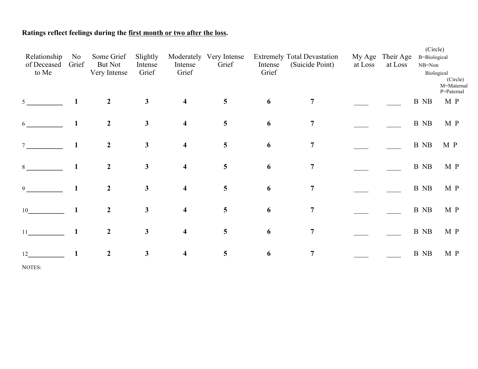# **Ratings reflect feelings during the first month or two after the loss.**

| Relationship<br>of Deceased<br>to Me | N <sub>0</sub><br>Grief | Some Grief<br><b>But Not</b><br>Very Intense | Slightly<br>Intense<br>Grief | Intense<br>Grief        | Moderately Very Intense<br>Grief | Intense<br>Grief | <b>Extremely Total Devastation</b><br>(Suicide Point) | at Loss | My Age Their Age<br>at Loss | (Circle)<br>B=Biological<br>NB=Non<br>Biological | (Circle)<br>M=Maternal |
|--------------------------------------|-------------------------|----------------------------------------------|------------------------------|-------------------------|----------------------------------|------------------|-------------------------------------------------------|---------|-----------------------------|--------------------------------------------------|------------------------|
| 5 <sup>5</sup>                       | $\mathbf{1}$            | $\overline{2}$                               | $\mathbf{3}$                 | $\overline{\mathbf{4}}$ | 5                                | 6                | 7                                                     |         |                             | B NB                                             | P=Paternal<br>M P      |
| 6                                    | $\mathbf{1}$            | $\boldsymbol{2}$                             | $\mathbf{3}$                 | $\overline{\mathbf{4}}$ | $5\overline{)}$                  | 6                | $\overline{7}$                                        |         |                             | B NB                                             | M P                    |
| $7\overline{ }$                      |                         | $\boldsymbol{2}$                             | $\mathbf{3}$                 | $\overline{\mathbf{4}}$ | 5                                | 6                | $\overline{7}$                                        |         |                             | B NB                                             | M P                    |
| 8                                    | $\mathbf{1}$            | $\boldsymbol{2}$                             | $\mathbf{3}$                 | $\overline{\mathbf{4}}$ | 5                                | 6                | $\overline{7}$                                        |         |                             | B NB                                             | M P                    |
| 9                                    | 1                       | $\boldsymbol{2}$                             | $\mathbf{3}$                 | $\overline{\mathbf{4}}$ | $5\overline{)}$                  | 6                | $\overline{7}$                                        |         |                             | B NB                                             | M P                    |
| 10                                   | $\mathbf{1}$            | $\boldsymbol{2}$                             | $\mathbf{3}$                 | $\overline{\mathbf{4}}$ | $5\overline{)}$                  | 6                | $\overline{7}$                                        |         |                             | B NB                                             | M P                    |
| 11                                   |                         | $\overline{2}$                               | $\mathbf{3}$                 | $\overline{\mathbf{4}}$ | $5\overline{)}$                  | 6                | $\overline{7}$                                        |         |                             | B NB                                             | M P                    |
| 12                                   |                         | $\boldsymbol{2}$                             | $\mathbf{3}$                 | $\overline{\mathbf{4}}$ | 5                                | 6                | $\overline{7}$                                        |         |                             | B NB                                             | M P                    |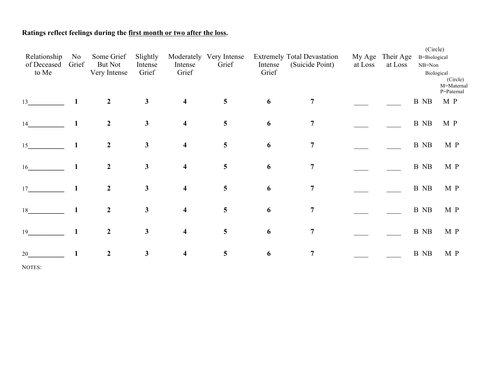# **Ratings reflect feelings during the first month or two after the loss.**

| Relationship<br>of Deceased<br>to Me | N <sub>0</sub><br>Grief | Some Grief<br><b>But Not</b><br>Very Intense | Slightly<br>Intense<br>Grief | Intense<br>Grief        | Moderately Very Intense<br>Grief | Intense<br>Grief | <b>Extremely Total Devastation</b><br>(Suicide Point) | at Loss | My Age Their Age<br>at Loss | (Circle)<br>B=Biological<br>NB=Non | Biological<br>(Circle)<br>M=Maternal |
|--------------------------------------|-------------------------|----------------------------------------------|------------------------------|-------------------------|----------------------------------|------------------|-------------------------------------------------------|---------|-----------------------------|------------------------------------|--------------------------------------|
| 13                                   | $\mathbf{1}$            | $\overline{2}$                               | $\mathbf{3}$                 | $\overline{\mathbf{4}}$ | 5 <sup>5</sup>                   | 6                | 7                                                     |         |                             | B NB                               | P=Paternal<br>M P                    |
| 14                                   |                         | $\overline{2}$                               | $\mathbf{3}$                 | $\overline{\mathbf{4}}$ | 5 <sup>5</sup>                   | 6                | $\overline{7}$                                        |         |                             | B NB                               | M P                                  |
| 15                                   | $\mathbf{1}$            | $\boldsymbol{2}$                             | $\mathbf{3}$                 | $\overline{\mathbf{4}}$ | $5\overline{)}$                  | 6                | $\overline{7}$                                        |         |                             | B NB                               | M P                                  |
| 16                                   | $\mathbf{1}$            | $\overline{2}$                               | $\mathbf{3}$                 | $\overline{\mathbf{4}}$ | 5 <sup>5</sup>                   | 6                | $\overline{7}$                                        |         |                             | B NB                               | M P                                  |
| 17                                   | 1                       | $\overline{2}$                               | $\mathbf{3}$                 | $\overline{\mathbf{4}}$ | 5 <sup>5</sup>                   | 6                | $\overline{7}$                                        |         |                             | B NB                               | M P                                  |
| 18                                   |                         | $\overline{2}$                               | $\mathbf{3}$                 | $\overline{\mathbf{4}}$ | $5\overline{)}$                  | 6                | $\overline{7}$                                        |         |                             | B NB                               | M P                                  |
| 19                                   |                         | $\boldsymbol{2}$                             | $\mathbf{3}$                 | $\overline{\mathbf{4}}$ | 5 <sup>5</sup>                   | 6                | $\overline{7}$                                        |         |                             | B NB                               | M P                                  |
| 20                                   |                         | $\boldsymbol{2}$                             | $\mathbf{3}$                 | $\overline{\mathbf{4}}$ | $\overline{\mathbf{5}}$          | 6                | $\overline{7}$                                        |         |                             | B NB                               | M P                                  |
|                                      |                         |                                              |                              |                         |                                  |                  |                                                       |         |                             |                                    |                                      |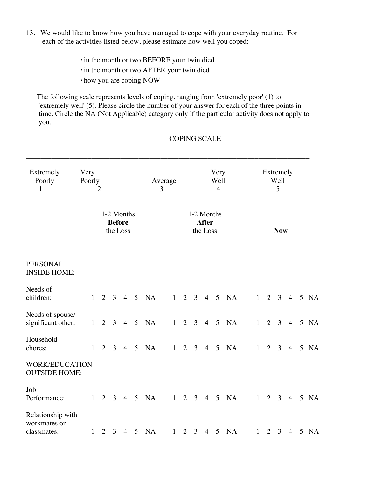- 13. We would like to know how you have managed to cope with your everyday routine. For each of the activities listed below, please estimate how well you coped:
	- **.** in the month or two BEFORE your twin died
	- **.** in the month or two AFTER your twin died
	- **.** how you are coping NOW

The following scale represents levels of coping, ranging from 'extremely poor' (1) to 'extremely well' (5). Please circle the number of your answer for each of the three points in time. Circle the NA (Not Applicable) category only if the particular activity does not apply to you.

## COPING SCALE

| Extremely<br>Poorly<br>1                         | Very<br>Poorly<br>2 |                                         |                 | Average<br>3 |                 |            | Very<br>Well<br>$\overline{4}$ |                                        |             | Extremely<br>Well<br>5 |            |                          |   |  |                     |                |  |                          |
|--------------------------------------------------|---------------------|-----------------------------------------|-----------------|--------------|-----------------|------------|--------------------------------|----------------------------------------|-------------|------------------------|------------|--------------------------|---|--|---------------------|----------------|--|--------------------------|
|                                                  |                     | 1-2 Months<br><b>Before</b><br>the Loss |                 |              |                 |            |                                | 1-2 Months<br><b>After</b><br>the Loss |             |                        | <b>Now</b> |                          |   |  |                     |                |  |                          |
| <b>PERSONAL</b><br><b>INSIDE HOME:</b>           |                     |                                         |                 |              |                 |            |                                |                                        |             |                        |            |                          |   |  |                     |                |  |                          |
| Needs of<br>children:                            |                     | 1                                       | $2 \t3 \t4 \t5$ |              |                 | <b>NA</b>  |                                |                                        |             |                        |            | $1 \t2 \t3 \t4 \t5 \tNA$ |   |  |                     |                |  | $1 \t2 \t3 \t4 \t5 \tNA$ |
| Needs of spouse/<br>significant other:           |                     | $\mathbf{1}$                            | $2 \t3 \t4$     |              | $5\overline{)}$ | <b>NA</b>  |                                | $1 \t2 \t3$                            |             |                        | $4\quad 5$ | NA                       | 1 |  |                     |                |  | 2 3 4 5 NA               |
| Household<br>chores:                             |                     | $\overline{2}$<br>$\mathbf{1}$          |                 | $3 \quad 4$  | $5\overline{)}$ | NA         | 1                              |                                        | $2 \quad 3$ |                        |            | 4 5 NA                   | 1 |  | $2 \quad 3$         | $\overline{4}$ |  | 5 NA                     |
| <b>WORK/EDUCATION</b><br><b>OUTSIDE HOME:</b>    |                     |                                         |                 |              |                 |            |                                |                                        |             |                        |            |                          |   |  |                     |                |  |                          |
| Job<br>Performance:                              |                     | $\mathbf{1}$                            | $2 \t3 \t4 \t5$ |              |                 | <b>NA</b>  | 1                              |                                        | $2 \quad 3$ |                        | $4\quad 5$ | NA                       | 1 |  | $2 \quad 3 \quad 4$ |                |  | 5 NA                     |
| Relationship with<br>workmates or<br>classmates: |                     | $\mathbf{1}$                            |                 |              |                 | 2 3 4 5 NA |                                |                                        |             |                        |            | $1 \t2 \t3 \t4 \t5 \tNA$ | 1 |  | $2 \quad 3$         |                |  | 4 5 NA                   |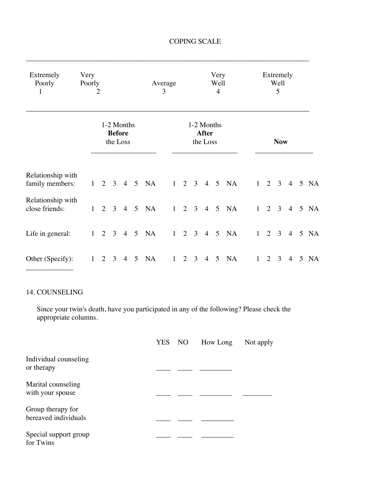| Extremely<br>Poorly<br>$\mathbf{1}$  | Very<br>Poorly | 2 |                                         |                |                 |                          | Average<br>3 |                                        |   |                |                | Very<br>Well<br>$\overline{4}$ |                          |   |                     | Extremely<br>Well<br>5 |                |  |        |
|--------------------------------------|----------------|---|-----------------------------------------|----------------|-----------------|--------------------------|--------------|----------------------------------------|---|----------------|----------------|--------------------------------|--------------------------|---|---------------------|------------------------|----------------|--|--------|
|                                      |                |   | 1-2 Months<br><b>Before</b><br>the Loss |                |                 |                          |              | 1-2 Months<br><b>After</b><br>the Loss |   |                | <b>Now</b>     |                                |                          |   |                     |                        |                |  |        |
| Relationship with<br>family members: |                |   |                                         |                |                 | $1 \t2 \t3 \t4 \t5 \tNA$ |              |                                        |   |                |                |                                | $1 \t2 \t3 \t4 \t5 \tNA$ |   |                     | $1 \quad 2 \quad 3$    |                |  | 4 5 NA |
| Relationship with<br>close friends:  | 1              |   |                                         |                |                 | 2 3 4 5 NA               |              |                                        |   |                |                |                                | $1 \t2 \t3 \t4 \t5 \tNA$ |   | $1 \quad 2 \quad 3$ |                        |                |  | 4 5 NA |
| Life in general:                     |                |   |                                         |                |                 | $1 \t2 \t3 \t4 \t5 \tNA$ |              |                                        |   |                |                |                                | $1 \t2 \t3 \t4 \t5 \tNA$ |   | $1 \quad 2 \quad 3$ |                        |                |  | 4 5 NA |
| Other (Specify):                     | 1              | 2 | 3                                       | $\overline{4}$ | $5\overline{)}$ | <b>NA</b>                |              | 1                                      | 2 | $\mathfrak{Z}$ | $\overline{4}$ | $5\overline{)}$                | <b>NA</b>                | 1 | $\overline{2}$      | $\overline{3}$         | $\overline{4}$ |  | 5 NA   |

\_\_\_\_\_\_\_\_\_\_\_\_\_\_\_\_\_\_\_\_\_\_\_\_\_\_\_\_\_\_\_\_\_\_\_\_\_\_\_\_\_\_\_\_\_\_\_\_\_\_\_\_\_\_\_\_\_\_\_\_\_\_\_\_\_\_\_\_\_\_\_\_\_\_\_\_\_\_

## COPING SCALE

## 14. COUNSELING

Since your twin's death, have you participated in any of the following? Please check the appropriate columns.

|                                           | YES NO | How Long | Not apply |
|-------------------------------------------|--------|----------|-----------|
| Individual counseling<br>or therapy       |        |          |           |
| Marital counseling<br>with your spouse    |        |          |           |
| Group therapy for<br>bereaved individuals |        |          |           |
| Special support group<br>for Twins        |        |          |           |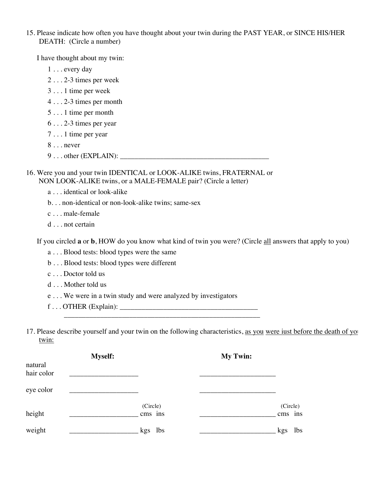15. Please indicate how often you have thought about your twin during the PAST YEAR, or SINCE HIS/HER DEATH: (Circle a number)

I have thought about my twin:

- 1 . . . every day
- 2 . . . 2-3 times per week
- 3 . . . 1 time per week
- 4 . . . 2-3 times per month
- 5 . . . 1 time per month
- 6 . . . 2-3 times per year
- 7 . . . 1 time per year
- 8 . . . never
- 9 . . . other (EXPLAIN): \_\_\_\_\_\_\_\_\_\_\_\_\_\_\_\_\_\_\_\_\_\_\_\_\_\_\_\_\_\_\_\_\_\_\_\_\_\_\_\_\_
- 16. Were you and your twin IDENTICAL or LOOK-ALIKE twins, FRATERNAL or NON LOOK-ALIKE twins, or a MALE-FEMALE pair? (Circle a letter)
	- a . . . identical or look-alike
	- b. . . non-identical or non-look-alike twins; same-sex
	- c . . . male-female
	- d . . . not certain

If you circled **a** or **b**, HOW do you know what kind of twin you were? (Circle all answers that apply to you)

- a . . . Blood tests: blood types were the same
- b . . . Blood tests: blood types were different
- c . . . Doctor told us
- d . . . Mother told us
- e . . . We were in a twin study and were analyzed by investigators
- f . . . OTHER (Explain): \_\_\_\_\_\_\_\_\_\_\_\_\_\_\_\_\_\_\_\_\_\_\_\_\_\_\_\_\_\_\_\_\_\_\_\_\_\_
- 17. Please describe yourself and your twin on the following characteristics, as you were iust before the death of your twin:

|                       | <b>Myself:</b> |                     | <b>My Twin:</b> |                     |
|-----------------------|----------------|---------------------|-----------------|---------------------|
| natural<br>hair color |                |                     |                 |                     |
| eye color             |                |                     |                 |                     |
| height                |                | (Circle)<br>cms ins |                 | (Circle)<br>cms ins |
| weight                |                | kgs lbs             |                 | lbs<br>kgs          |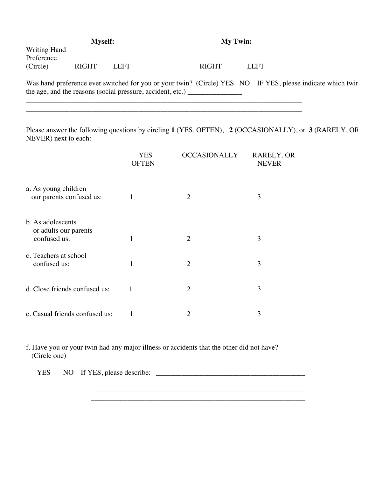|                                        | <b>Myself:</b> |       | <b>My Twin:</b> |  |                                                                                                            |
|----------------------------------------|----------------|-------|-----------------|--|------------------------------------------------------------------------------------------------------------|
| Writing Hand<br>Preference<br>(Circle) | <b>RIGHT</b>   | LEFT. | <b>RIGHT</b>    |  | LEFT                                                                                                       |
|                                        |                |       |                 |  | Was hand preference ever switched for you or your twin? (Circle) YES NO IF YES, please indicate which twir |

| was hand preference ever switched for you or your twin: (Chefe) TES TWO THE TE |  |
|--------------------------------------------------------------------------------|--|
| the age, and the reasons (social pressure, accident, etc.)                     |  |

\_\_\_\_\_\_\_\_\_\_\_\_\_\_\_\_\_\_\_\_\_\_\_\_\_\_\_\_\_\_\_\_\_\_\_\_\_\_\_\_\_\_\_\_\_\_\_\_\_\_\_\_\_\_\_\_\_\_\_\_\_\_\_\_\_\_\_\_\_\_\_\_\_\_\_\_ \_\_\_\_\_\_\_\_\_\_\_\_\_\_\_\_\_\_\_\_\_\_\_\_\_\_\_\_\_\_\_\_\_\_\_\_\_\_\_\_\_\_\_\_\_\_\_\_\_\_\_\_\_\_\_\_\_\_\_\_\_\_\_\_\_\_\_\_\_\_\_\_\_\_\_\_

Please answer the following questions by circling **1** (YES, OFTEN), **2** (OCCASIONALLY), or **3** (RARELY, OR NEVER) next to each:

|                                                            | <b>YES</b><br><b>OFTEN</b> | <b>OCCASIONALLY</b> | RARELY, OR<br><b>NEVER</b> |
|------------------------------------------------------------|----------------------------|---------------------|----------------------------|
| a. As young children<br>our parents confused us:           | 1                          | $\overline{2}$      | 3                          |
| b. As adolescents<br>or adults our parents<br>confused us: | 1                          | $\overline{2}$      | 3                          |
| c. Teachers at school<br>confused us:                      | 1                          | $\overline{2}$      | 3                          |
| d. Close friends confused us:                              | 1                          | $\overline{2}$      | 3                          |
| e. Casual friends confused us:                             | 1                          | 2                   | 3                          |

f. Have you or your twin had any major illness or accidents that the other did not have? (Circle one)

\_\_\_\_\_\_\_\_\_\_\_\_\_\_\_\_\_\_\_\_\_\_\_\_\_\_\_\_\_\_\_\_\_\_\_\_\_\_\_\_\_\_\_\_\_\_\_\_\_\_\_\_\_\_\_\_\_\_\_

YES NO If YES, please describe: \_\_\_\_\_\_\_\_\_\_\_\_\_\_\_\_\_\_\_\_\_\_\_\_\_\_\_\_\_\_\_\_\_\_\_\_\_\_\_\_\_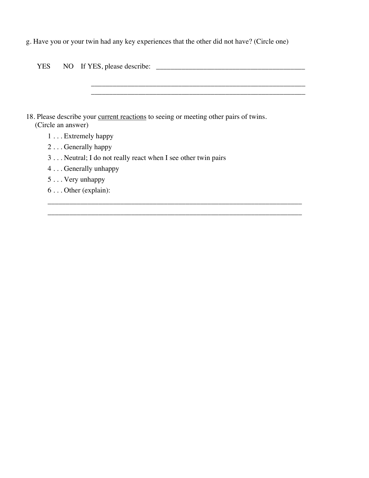g. Have you or your twin had any key experiences that the other did not have? (Circle one)

| YES                | NO If YES, please describe:                                                           |
|--------------------|---------------------------------------------------------------------------------------|
|                    |                                                                                       |
|                    |                                                                                       |
|                    |                                                                                       |
|                    |                                                                                       |
|                    | 18. Please describe your current reactions to seeing or meeting other pairs of twins. |
| (Circle an answer) |                                                                                       |
|                    | $1 \ldots$ Extremely happy                                                            |
|                    | $2 \ldots$ Generally happy                                                            |
|                    | 3 Neutral; I do not really react when I see other twin pairs                          |
|                    | 4 Generally unhappy                                                                   |
|                    | $5$ Very unhappy                                                                      |
|                    | $6 \ldots$ Other (explain):                                                           |
|                    |                                                                                       |

\_\_\_\_\_\_\_\_\_\_\_\_\_\_\_\_\_\_\_\_\_\_\_\_\_\_\_\_\_\_\_\_\_\_\_\_\_\_\_\_\_\_\_\_\_\_\_\_\_\_\_\_\_\_\_\_\_\_\_\_\_\_\_\_\_\_\_\_\_\_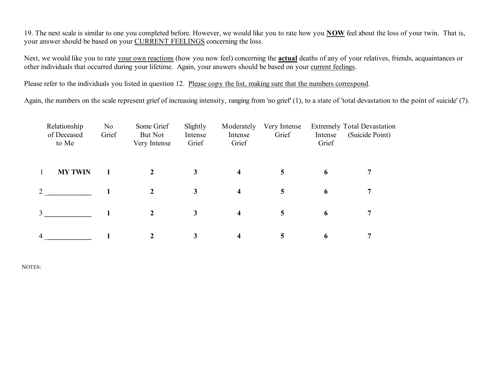19. The next scale is similar to one you completed before. However, we would like you to rate how you **NOW** feel about the loss of your twin. That is, your answer should be based on your CURRENT FEELINGS concerning the loss.

Next, we would like you to rate your own reactions (how you now feel) concerning the **actual** deaths of any of your relatives, friends, acquaintances or other individuals that occurred during your lifetime. Again, your answers should be based on your current feelings.

Please refer to the individuals you listed in question 12. Please copy the list, making sure that the numbers correspond.

Again, the numbers on the scale represent grief of increasing intensity, ranging from 'no grief' (1), to a state of 'total devastation to the point of suicide' (7).

|                             | Relationship<br>of Deceased<br>to Me | No<br>Grief | Some Grief<br>But Not<br>Very Intense | Slightly<br>Intense<br>Grief | Moderately<br>Intense<br>Grief | Very Intense<br>Grief | Intense<br>Grief | <b>Extremely Total Devastation</b><br>(Suicide Point) |  |
|-----------------------------|--------------------------------------|-------------|---------------------------------------|------------------------------|--------------------------------|-----------------------|------------------|-------------------------------------------------------|--|
|                             | <b>MY TWIN</b>                       |             | $\overline{2}$                        | $\mathbf{3}$                 | $\overline{\mathbf{4}}$        | 5                     | 6                | 7                                                     |  |
| $\mathcal{D}_{\mathcal{L}}$ |                                      |             | 2                                     | $\mathbf{3}$                 | $\overline{\mathbf{4}}$        | $\overline{5}$        | 6                | 7                                                     |  |
| $\mathcal{L}$               |                                      |             | 2                                     | $\mathbf{3}$                 | 4                              | 5                     | 6                | 7                                                     |  |
| 4                           |                                      |             | $\mathbf 2$                           | 3                            | 4                              | 5                     | 6                | 7                                                     |  |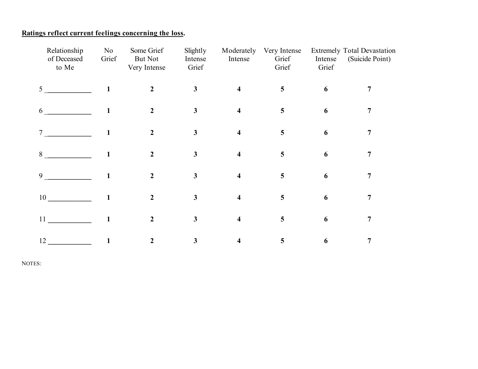## **Ratings reflect current feelings concerning the loss.**

| Relationship<br>of Deceased<br>to Me | N <sub>o</sub><br>Grief | Some Grief<br>But Not<br>Very Intense | Slightly<br>Intense<br>Grief | Moderately<br>Intense   | Very Intense<br>Grief<br>Grief | Intense<br>Grief | <b>Extremely Total Devastation</b><br>(Suicide Point) |
|--------------------------------------|-------------------------|---------------------------------------|------------------------------|-------------------------|--------------------------------|------------------|-------------------------------------------------------|
| 5 <sup>1</sup>                       |                         | 2                                     | $\mathbf{3}$                 | $\overline{\mathbf{4}}$ | 5                              | 6                |                                                       |
| 6                                    |                         | $\overline{2}$                        | $\mathbf{3}$                 | $\overline{\mathbf{4}}$ | 5                              | 6                | 7                                                     |
| 7                                    |                         | $\overline{2}$                        | $\mathbf{3}$                 | $\overline{\mathbf{4}}$ | 5                              | 6                | 7                                                     |
| 8                                    |                         | 2                                     | $\mathbf{3}$                 | $\overline{\mathbf{4}}$ | 5                              | 6                | 7                                                     |
| 9                                    |                         | $\mathfrak{D}$                        | $\overline{\mathbf{3}}$      | $\overline{\mathbf{4}}$ | 5                              | 6                | 7                                                     |
| 10                                   |                         | 2                                     | $\mathbf{3}$                 | $\boldsymbol{4}$        | 5                              | 6                | 7                                                     |
| 11                                   |                         | 2                                     | $\mathbf{3}$                 | $\overline{\mathbf{4}}$ | 5                              | 6                | 7                                                     |
| 12                                   |                         | 2                                     | 3                            | $\overline{\mathbf{4}}$ | 5                              | 6                | 7                                                     |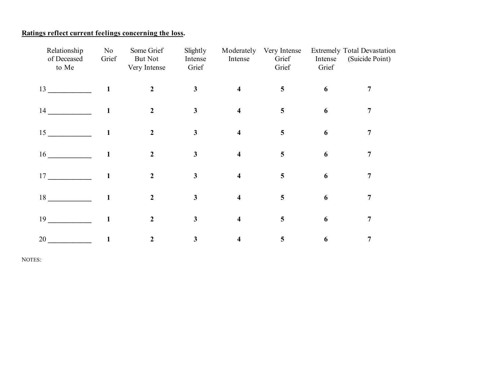## **Ratings reflect current feelings concerning the loss.**

| Relationship<br>of Deceased<br>to Me | N <sub>0</sub><br>Grief | Some Grief<br><b>But Not</b><br>Very Intense | Slightly<br>Intense<br>Grief | Moderately<br>Intense   | Very Intense<br>Grief<br>Grief | Intense<br>Grief | Extremely Total Devastation<br>(Suicide Point) |
|--------------------------------------|-------------------------|----------------------------------------------|------------------------------|-------------------------|--------------------------------|------------------|------------------------------------------------|
| 13                                   |                         | $\mathbf{2}$                                 | $\mathbf{3}$                 | $\overline{\mathbf{4}}$ | 5                              | 6                | 7                                              |
| 14                                   |                         | $\overline{2}$                               | $\mathbf{3}$                 | $\overline{\mathbf{4}}$ | 5                              | 6                | 7                                              |
| 15                                   |                         | $\overline{2}$                               | $\mathbf{3}$                 | $\overline{\mathbf{4}}$ | 5                              | 6                | 7                                              |
| 16                                   | 1                       | $\mathfrak{D}$                               | 3                            | $\overline{\mathbf{4}}$ | 5                              | 6                | 7                                              |
| 17                                   | 1                       | $\mathcal{L}$                                | $\overline{\mathbf{3}}$      | $\overline{\mathbf{4}}$ | 5                              | 6                | 7                                              |
| 18                                   |                         | 2                                            | $\mathbf{3}$                 | $\overline{\mathbf{4}}$ | 5                              | 6                | 7                                              |
| 19                                   |                         | $\mathbf{2}$                                 | $\mathbf{3}$                 | $\overline{\mathbf{4}}$ | 5                              | 6                | 7                                              |
| 20                                   |                         | 2                                            | 3                            | $\overline{\mathbf{4}}$ | 5                              | 6                | $\overline{7}$                                 |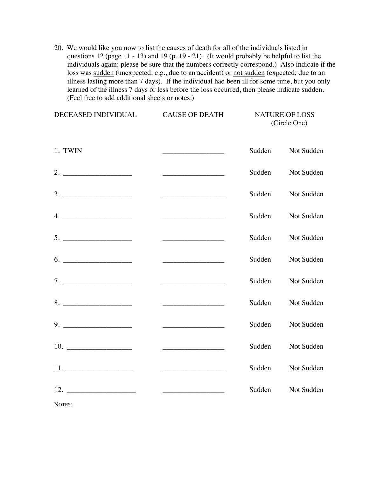20. We would like you now to list the causes of death for all of the individuals listed in questions 12 (page 11 - 13) and 19 (p. 19 - 21). (It would probably be helpful to list the individuals again; please be sure that the numbers correctly correspond.) Also indicate if the loss was sudden (unexpected; e.g., due to an accident) or not sudden (expected; due to an illness lasting more than 7 days). If the individual had been ill for some time, but you only learned of the illness 7 days or less before the loss occurred, then please indicate sudden. (Feel free to add additional sheets or notes.)

| DECEASED INDIVIDUAL | <b>CAUSE OF DEATH</b>                                                                                                                                                                                                                |        | <b>NATURE OF LOSS</b><br>(Circle One) |
|---------------------|--------------------------------------------------------------------------------------------------------------------------------------------------------------------------------------------------------------------------------------|--------|---------------------------------------|
| 1. TWIN             | <u> 1989 - Johann Barn, mars ann an t-Alban an t-Alban ann an t-Alban ann an t-Alban ann an t-Alban ann an t-Alban ann an t-Alban ann an t-Alban ann an t-Alban ann an t-Alban ann an t-Alban ann an t-Alban ann an t-Alban ann </u> | Sudden | Not Sudden                            |
|                     | <u> 1999 - Johann Harry Harry Harry Harry Harry Harry Harry Harry Harry Harry Harry Harry Harry Harry Harry Harry</u>                                                                                                                | Sudden | Not Sudden                            |
|                     |                                                                                                                                                                                                                                      | Sudden | Not Sudden                            |
| $4. \_$             |                                                                                                                                                                                                                                      | Sudden | Not Sudden                            |
| 5.                  |                                                                                                                                                                                                                                      | Sudden | Not Sudden                            |
|                     |                                                                                                                                                                                                                                      | Sudden | Not Sudden                            |
|                     | <u> 1989 - John Harry Harry Harry Harry Harry Harry Harry Harry Harry Harry Harry Harry Harry Harry Harry Harry Harry Harry Harry Harry Harry Harry Harry Harry Harry Harry Harry Harry Harry Harry Harry Harry Harry Harry Harr</u> | Sudden | Not Sudden                            |
|                     |                                                                                                                                                                                                                                      | Sudden | Not Sudden                            |
|                     |                                                                                                                                                                                                                                      | Sudden | Not Sudden                            |
|                     |                                                                                                                                                                                                                                      | Sudden | Not Sudden                            |
|                     |                                                                                                                                                                                                                                      | Sudden | Not Sudden                            |
| 12.                 |                                                                                                                                                                                                                                      | Sudden | Not Sudden                            |
| NOTES:              |                                                                                                                                                                                                                                      |        |                                       |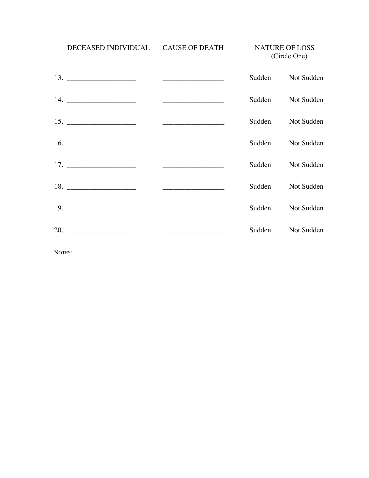DECEASED INDIVIDUAL CAUSE OF DEATH NATURE OF LOSS

(Circle One)

|                                                                                                                       |        | Sudden Not Sudden |
|-----------------------------------------------------------------------------------------------------------------------|--------|-------------------|
|                                                                                                                       | Sudden | Not Sudden        |
|                                                                                                                       | Sudden | Not Sudden        |
|                                                                                                                       | Sudden | Not Sudden        |
| <u> 1980 - Jan Barbara, manazarta da kasas da shekara 1980 - Andrea Santa Barbara a Santa Barbara a Santa Barbara</u> | Sudden | Not Sudden        |
|                                                                                                                       | Sudden | Not Sudden        |
|                                                                                                                       | Sudden | Not Sudden        |
|                                                                                                                       | Sudden | Not Sudden        |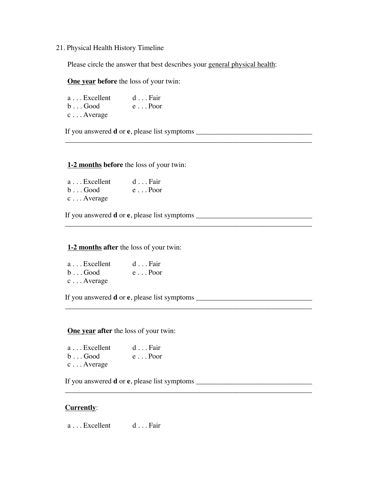### 21. Physical Health History Timeline

Please circle the answer that best describes your general physical health:

\_\_\_\_\_\_\_\_\_\_\_\_\_\_\_\_\_\_\_\_\_\_\_\_\_\_\_\_\_\_\_\_\_\_\_\_\_\_\_\_\_\_\_\_\_\_\_\_\_\_\_\_\_\_\_\_\_\_\_\_\_\_\_\_\_\_\_\_

\_\_\_\_\_\_\_\_\_\_\_\_\_\_\_\_\_\_\_\_\_\_\_\_\_\_\_\_\_\_\_\_\_\_\_\_\_\_\_\_\_\_\_\_\_\_\_\_\_\_\_\_\_\_\_\_\_\_\_\_\_\_\_\_\_\_\_\_

\_\_\_\_\_\_\_\_\_\_\_\_\_\_\_\_\_\_\_\_\_\_\_\_\_\_\_\_\_\_\_\_\_\_\_\_\_\_\_\_\_\_\_\_\_\_\_\_\_\_\_\_\_\_\_\_\_\_\_\_\_\_\_\_\_\_\_\_

\_\_\_\_\_\_\_\_\_\_\_\_\_\_\_\_\_\_\_\_\_\_\_\_\_\_\_\_\_\_\_\_\_\_\_\_\_\_\_\_\_\_\_\_\_\_\_\_\_\_\_\_\_\_\_\_\_\_\_\_\_\_\_\_\_\_\_\_

**One year before** the loss of your twin:

| a Excellent        | $d \dots$ Fair |
|--------------------|----------------|
| $b \ldots$ Good    | $e \dots$ Poor |
| $c \ldots$ Average |                |

If you answered **d** or **e**, please list symptoms \_\_\_\_\_\_\_\_\_\_\_\_\_\_\_\_\_\_\_\_\_\_\_\_\_\_\_\_\_\_\_\_

### **1-2 months before** the loss of your twin:

| $a \dots$ Excellent | $d \ldots$ Fair |
|---------------------|-----------------|
| $b \ldots$ Good     | $e \dots$ Poor  |
| $c \ldots$ Average  |                 |

If you answered **d** or **e**, please list symptoms \_\_\_\_\_\_\_\_\_\_\_\_\_\_\_\_\_\_\_\_\_\_\_\_\_\_\_\_\_\_\_\_

### **1-2 months after** the loss of your twin:

| $a \dots$ Excellent | $d \dots$ Fair  |
|---------------------|-----------------|
| $b \ldots$ Good     | $e \ldots$ Poor |
| $c \ldots$ Average  |                 |

If you answered **d** or **e**, please list symptoms \_\_\_\_\_\_\_\_\_\_\_\_\_\_\_\_\_\_\_\_\_\_\_\_\_\_\_\_\_\_\_\_

### **One year after** the loss of your twin:

| a Excellent     | $d \ldots$ Fair |
|-----------------|-----------------|
| $b \ldots$ Good | $e \dots$ Poor  |
| $\lambda$       |                 |

c . . . Average

If you answered **d** or **e**, please list symptoms \_\_\_\_\_\_\_\_\_\_\_\_\_\_\_\_\_\_\_\_\_\_\_\_\_\_\_\_\_\_\_\_

### **Currently**:

a . . . Excellent d . . . Fair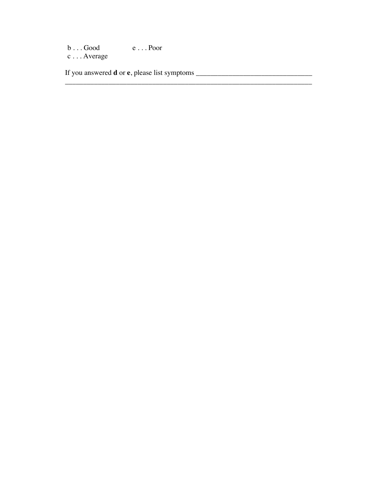$b \ldots$  Good e  $\ldots$  Poor c . . . Average

If you answered **d** or **e**, please list symptoms \_\_\_\_\_\_\_\_\_\_\_\_\_\_\_\_\_\_\_\_\_\_\_\_\_\_\_\_\_\_\_\_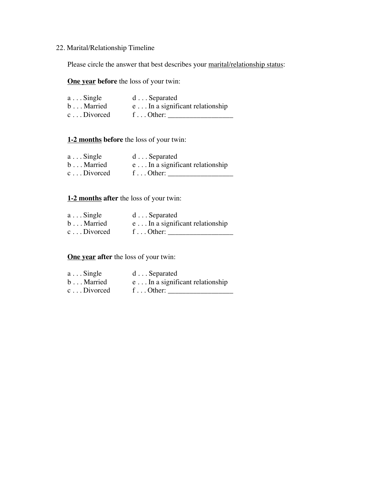## 22. Marital/Relationship Timeline

Please circle the answer that best describes your marital/relationship status:

**One year before** the loss of your twin:

| $a \dots$ Single    | $d \ldots$ Separated                    |
|---------------------|-----------------------------------------|
| $b \ldots$ Married  | $e \dots$ In a significant relationship |
| $c \ldots$ Divorced | f Other:                                |

### **1-2 months before** the loss of your twin:

| $a \dots$ Single    | $d \ldots$ Separated                    |
|---------------------|-----------------------------------------|
| $b \ldots$ Married  | $e \dots$ In a significant relationship |
| $c \ldots$ Divorced | f Other:                                |

### **1-2 months after** the loss of your twin:

| $a \dots$ Single    | $d \ldots$ Separated                    |
|---------------------|-----------------------------------------|
| $b \ldots$ Married  | $e \dots$ In a significant relationship |
| $c \ldots$ Divorced | f $Other:$                              |

## **One year after** the loss of your twin:

| $a \dots$ Single    | $d \ldots$ Separated                     |
|---------------------|------------------------------------------|
| $b \ldots$ Married  | $e \ldots$ In a significant relationship |
| $c \ldots$ Divorced | f $Other:$                               |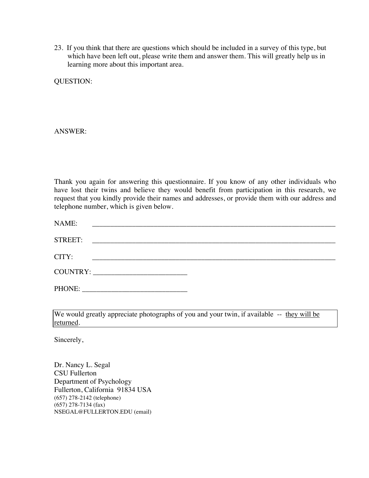23. If you think that there are questions which should be included in a survey of this type, but which have been left out, please write them and answer them. This will greatly help us in learning more about this important area.

QUESTION:

ANSWER:

Thank you again for answering this questionnaire. If you know of any other individuals who have lost their twins and believe they would benefit from participation in this research, we request that you kindly provide their names and addresses, or provide them with our address and telephone number, which is given below.

| NAME:   | <u> 1980 - Jan Barnett, margaret amerikan basar dan berasal dari personal dan berasal dan berasal dan berasal dan</u> |  |  |
|---------|-----------------------------------------------------------------------------------------------------------------------|--|--|
| STREET: |                                                                                                                       |  |  |
| CITY:   |                                                                                                                       |  |  |
|         | COUNTRY:                                                                                                              |  |  |
|         |                                                                                                                       |  |  |

We would greatly appreciate photographs of you and your twin, if available -- they will be returned.

Sincerely,

Dr. Nancy L. Segal CSU Fullerton Department of Psychology Fullerton, California 91834 USA (657) 278-2142 (telephone) (657) 278-7134 (fax) NSEGAL@FULLERTON.EDU (email)